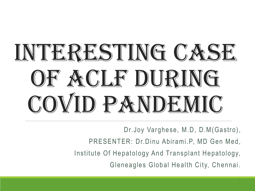# INTERESTING CASE OF ACLF DURING COVID PANDEMIC

Dr.Joy Varghese, M.D, D.M(Gastro),

PRESENTER: Dr.Dinu Abirami.P, MD Gen Med,

Institute Of Hepatology And Transplant Hepatology,

Gleneagles Global Health City, Chennai.

.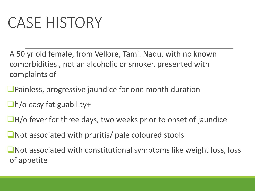### CASE HISTORY

A 50 yr old female, from Vellore, Tamil Nadu, with no known comorbidities , not an alcoholic or smoker, presented with complaints of

- ■Painless, progressive jaundice for one month duration
- $\Box$ h/o easy fatiguability+
- ■H/o fever for three days, two weeks prior to onset of jaundice
- ■Not associated with pruritis/ pale coloured stools
- ❑Not associated with constitutional symptoms like weight loss, loss of appetite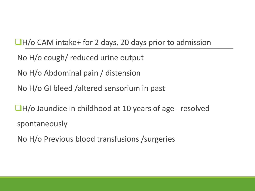#### ❑H/o CAM intake+ for 2 days, 20 days prior to admission

No H/o cough/ reduced urine output

No H/o Abdominal pain / distension

No H/o GI bleed /altered sensorium in past

■H/o Jaundice in childhood at 10 years of age - resolved spontaneously

No H/o Previous blood transfusions /surgeries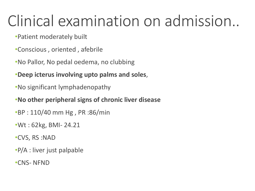### Clinical examination on admission..

•Patient moderately built

- •Conscious , oriented , afebrile
- •No Pallor, No pedal oedema, no clubbing
- •**Deep icterus involving upto palms and soles**,
- •No significant lymphadenopathy

#### •**No other peripheral signs of chronic liver disease**

- •BP : 110/40 mm Hg , PR :86/min
- •Wt : 62kg, BMI- 24.21
- •CVS, RS :NAD
- •P/A : liver just palpable
- •CNS- NFND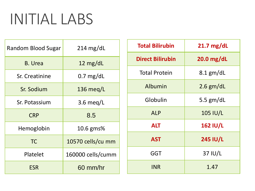#### INITIAL LABS

| Random Blood Sugar | $214 \text{ mg/dL}$ | <b>Total Bili</b> |
|--------------------|---------------------|-------------------|
| <b>B.</b> Urea     | 12 $mg/dL$          | <b>Direct Bil</b> |
| Sr. Creatinine     | $0.7$ mg/dL         | <b>Total Pro</b>  |
| Sr. Sodium         | 136 meg/L           | Albun             |
| Sr. Potassium      | 3.6 meg/L           | Globu             |
| <b>CRP</b>         | 8.5                 | <b>ALF</b>        |
| Hemoglobin         | 10.6 gms%           | <b>ALT</b>        |
| <b>TC</b>          | 10570 cells/cu mm   | AS <sub>1</sub>   |
| Platelet           | 160000 cells/cumm   | GG <sup>-</sup>   |
| <b>ESR</b>         | 60 mm/hr            | <b>INR</b>        |

| <b>Total Bilirubin</b>  | $21.7 \text{ mg/dL}$ |  |  |
|-------------------------|----------------------|--|--|
| <b>Direct Bilirubin</b> | $20.0$ mg/dL         |  |  |
| <b>Total Protein</b>    | $8.1$ gm/dL          |  |  |
| Albumin                 | $2.6$ gm/dL          |  |  |
| Globulin                | 5.5 $gm/dL$          |  |  |
| <b>ALP</b>              | 105 IU/L             |  |  |
| <b>ALT</b>              | <b>162 IU/L</b>      |  |  |
| <b>AST</b>              | <b>245 IU/L</b>      |  |  |
| GGT                     | 37 IU/L              |  |  |
| <b>INR</b>              | 1.47                 |  |  |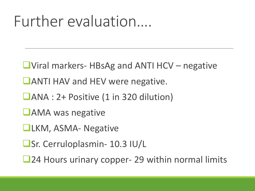#### Further evaluation….

- ❑Viral markers- HBsAg and ANTI HCV negative
- ■ANTI HAV and HEV were negative.
- ❑ANA : 2+ Positive (1 in 320 dilution)
- ❑AMA was negative
- ❑LKM, ASMA- Negative
- ❑Sr. Cerruloplasmin- 10.3 IU/L
- ■24 Hours urinary copper- 29 within normal limits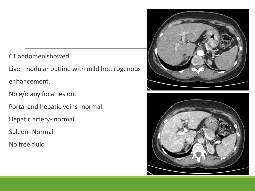CT abdomen showed

Liver- nodular outline with mild heterogenous enhancement.

No e/o any focal lesion.

Portal and hepatic veins- normal.

Hepatic artery- normal.

Spleen- Normal

No free fluid



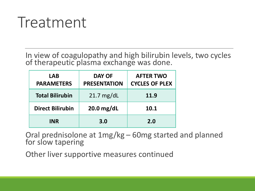#### Treatment

In view of coagulopathy and high bilirubin levels, two cycles of therapeutic plasma exchange was done.

| <b>LAB</b><br><b>PARAMETERS</b> | <b>DAY OF</b><br><b>PRESENTATION</b> | <b>AFTER TWO</b><br><b>CYCLES OF PLEX</b> |
|---------------------------------|--------------------------------------|-------------------------------------------|
| <b>Total Bilirubin</b>          | $21.7 \text{ mg/dL}$                 | 11.9                                      |
| <b>Direct Bilirubin</b>         | $20.0$ mg/dL                         | 10.1                                      |
| <b>INR</b>                      | 3.0                                  | 2.0                                       |

Oral prednisolone at 1mg/kg – 60mg started and planned for slow tapering

Other liver supportive measures continued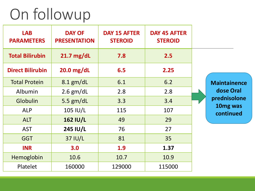#### On followup

| <b>LAB</b><br><b>PARAMETERS</b> | <b>DAY OF</b><br><b>PRESENTATION</b> | <b>DAY 15 AFTER</b><br><b>STEROID</b> | <b>DAY 45 AFTER</b><br><b>STEROID</b> |                                   |
|---------------------------------|--------------------------------------|---------------------------------------|---------------------------------------|-----------------------------------|
| <b>Total Bilirubin</b>          | $21.7$ mg/dL                         | 7.8                                   | 2.5                                   |                                   |
| <b>Direct Bilirubin</b>         | $20.0$ mg/dL                         | 6.5                                   | 2.25                                  |                                   |
| <b>Total Protein</b>            | $8.1$ gm/dL                          | 6.1                                   | 6.2                                   | <b>Maintainence</b>               |
| Albumin                         | $2.6$ gm/dL                          | 2.8                                   | 2.8                                   | dose Oral                         |
| Globulin                        | 5.5 gm/dL                            | 3.3                                   | 3.4                                   | prednisolone                      |
| <b>ALP</b>                      | 105 IU/L                             | 115                                   | 107                                   | 10 <sub>mg</sub> was<br>continued |
| <b>ALT</b>                      | <b>162 IU/L</b>                      | 49                                    | 29                                    |                                   |
| <b>AST</b>                      | 245 IU/L                             | 76                                    | 27                                    |                                   |
| <b>GGT</b>                      | 37 IU/L                              | 81                                    | 35                                    |                                   |
| <b>INR</b>                      | 3.0                                  | 1.9                                   | 1.37                                  |                                   |
| Hemoglobin                      | 10.6                                 | 10.7                                  | 10.9                                  |                                   |
| Platelet                        | 160000                               | 129000                                | 115000                                |                                   |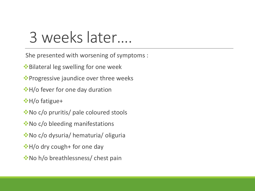#### 3 weeks later….

She presented with worsening of symptoms :

- ❖Bilateral leg swelling for one week
- ❖Progressive jaundice over three weeks
- *◆*H/o fever for one day duration
- ❖H/o fatigue+
- ❖No c/o pruritis/ pale coloured stools
- No c/o bleeding manifestations ◆
- ❖No c/o dysuria/ hematuria/ oliguria
- ❖H/o dry cough+ for one day
- ❖No h/o breathlessness/ chest pain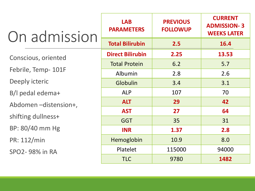| On admission         | <b>LAB</b><br><b>PARAMETERS</b> | <b>PREVIOUS</b><br><b>FOLLOWUP</b> | <b>CURRENT</b><br><b>ADMISSION-3</b><br><b>WEEKS LATER</b> |  |
|----------------------|---------------------------------|------------------------------------|------------------------------------------------------------|--|
|                      | <b>Total Bilirubin</b>          | 2.5                                | 16.4                                                       |  |
| Conscious, oriented  | <b>Direct Bilirubin</b>         | 2.25                               | 13.53                                                      |  |
|                      | <b>Total Protein</b>            | 6.2                                | 5.7                                                        |  |
| Febrile, Temp- 101F  | 2.8<br>Albumin                  |                                    | 2.6                                                        |  |
| Deeply icteric       | Globulin                        | 3.4                                | 3.1                                                        |  |
| B/I pedal edema+     | <b>ALP</b>                      | 107                                | 70                                                         |  |
| Abdomen-distension+, | <b>ALT</b>                      | 29                                 | 42                                                         |  |
|                      | <b>AST</b>                      | 27                                 | 64                                                         |  |
| shifting dullness+   | <b>GGT</b>                      | 35                                 | 31                                                         |  |
| BP: 80/40 mm Hg      | <b>INR</b>                      | 1.37                               | 2.8                                                        |  |
| PR: 112/min          | Hemoglobin                      | 10.9                               | 8.0                                                        |  |
| SPO2-98% in RA       | Platelet                        | 115000                             | 94000                                                      |  |
|                      | <b>TLC</b>                      | 9780                               | 1482                                                       |  |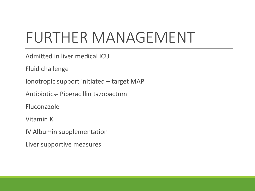### FURTHER MANAGEMENT

Admitted in liver medical ICU

Fluid challenge

Ionotropic support initiated – target MAP

Antibiotics- Piperacillin tazobactum

Fluconazole

Vitamin K

IV Albumin supplementation

Liver supportive measures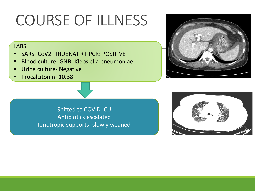### COURSE OF ILLNESS

#### LABS:

- SARS- COV2- TRUENAT RT-PCR: POSITIVE
- Blood culture: GNB- Klebsiella pneumoniae
- Urine culture- Negative
- Procalcitonin- 10.38





Shifted to COVID ICU Antibiotics escalated Ionotropic supports- slowly weaned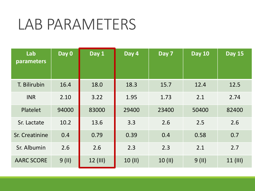#### LAB PARAMETERS

| Lab<br>parameters | Day 0    | Day 1      | Day 4   | Day 7   | <b>Day 10</b> | <b>Day 15</b> |
|-------------------|----------|------------|---------|---------|---------------|---------------|
| T. Bilirubin      | 16.4     | 18.0       | 18.3    | 15.7    | 12.4          | 12.5          |
| <b>INR</b>        | 2.10     | 3.22       | 1.95    | 1.73    | 2.1           | 2.74          |
| Platelet          | 94000    | 83000      | 29400   | 23400   | 50400         | 82400         |
| Sr. Lactate       | 10.2     | 13.6       | 3.3     | 2.6     | 2.5           | 2.6           |
| Sr. Creatinine    | 0.4      | 0.79       | 0.39    | 0.4     | 0.58          | 0.7           |
| Sr. Albumin       | 2.6      | 2.6        | 2.3     | 2.3     | 2.1           | 2.7           |
| <b>AARC SCORE</b> | $9$ (II) | $12$ (III) | 10 (II) | 10 (II) | $9$ (II)      | 11 (III)      |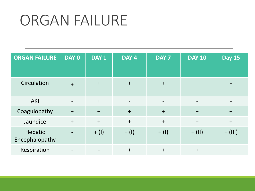#### ORGAN FAILURE

| <b>ORGAN FAILURE</b>      | DAY 0                    | DAY 1   | DAY 4                    | DAY 7                        | <b>DAY 10</b> | <b>Day 15</b> |
|---------------------------|--------------------------|---------|--------------------------|------------------------------|---------------|---------------|
| Circulation               | $+$                      | $+$     | $+$                      | $+$                          | $+$           |               |
| <b>AKI</b>                | $\overline{\phantom{a}}$ | $+$     | $\overline{\phantom{a}}$ | $\qquad \qquad \blacksquare$ |               |               |
| Coagulopathy              | $+$                      | $+$     | $+$                      | $+$                          | $+$           | $+$           |
| Jaundice                  | $+$                      | $+$     | $+$                      | $+$                          | $+$           | $+$           |
| Hepatic<br>Encephalopathy |                          | $+$ (I) | $+$ (I)                  | $+$ (I)                      | $+$ (II)      | $+$ (III)     |
| Respiration               |                          |         | $\ddagger$               | $+$                          | $\ddagger$    | $\ddot{}$     |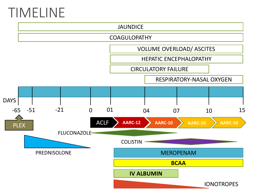#### TIMELINE

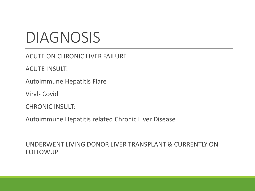#### DIAGNOSIS

ACUTE ON CHRONIC LIVER FAILURE

ACUTE INSULT:

Autoimmune Hepatitis Flare

Viral- Covid

CHRONIC INSULT:

Autoimmune Hepatitis related Chronic Liver Disease

UNDERWENT LIVING DONOR LIVER TRANSPLANT & CURRENTLY ON FOLLOWUP